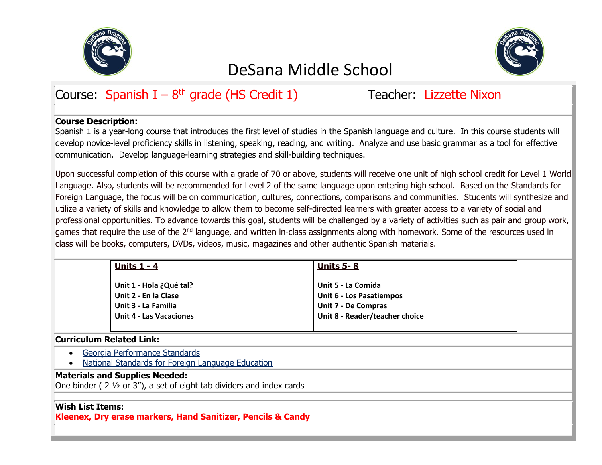



# Course: Spanish I – 8<sup>th</sup> grade (HS Credit 1) Teacher: Lizzette Nixon

## **Course Description:**

Spanish 1 is a year-long course that introduces the first level of studies in the Spanish language and culture. In this course students will develop novice-level proficiency skills in listening, speaking, reading, and writing. Analyze and use basic grammar as a tool for effective communication. Develop language-learning strategies and skill-building techniques.

Upon successful completion of this course with a grade of 70 or above, students will receive one unit of high school credit for Level 1 World Language. Also, students will be recommended for Level 2 of the same language upon entering high school. Based on the Standards for Foreign Language, the focus will be on communication, cultures, connections, comparisons and communities. Students will synthesize and utilize a variety of skills and knowledge to allow them to become self-directed learners with greater access to a variety of social and professional opportunities. To advance towards this goal, students will be challenged by a variety of activities such as pair and group work, games that require the use of the 2<sup>nd</sup> language, and written in-class assignments along with homework. Some of the resources used in class will be books, computers, DVDs, videos, music, magazines and other authentic Spanish materials.

| Units $1 - 4$                  | <b>Units 5-8</b>                |
|--------------------------------|---------------------------------|
| Unit 1 - Hola ¿Qué tal?        | Unit 5 - La Comida              |
| Unit 2 - En la Clase           | <b>Unit 6 - Los Pasatiempos</b> |
| Unit 3 - La Familia            | <b>Unit 7 - De Compras</b>      |
| <b>Unit 4 - Las Vacaciones</b> | Unit 8 - Reader/teacher choice  |
|                                |                                 |

## **Curriculum Related Link:**

- [Georgia Performance Standards](https://www.georgiastandards.org/Standards/Georgia%20Performance%20Standards/Modern%20Languages%20Level%20I.pdf)
- National Standards [for Foreign Language Education](http://www.actfl.org/files/public/StandardsforFLLexecsumm_rev.pdf)

## **Materials and Supplies Needed:**

One binder ( 2 ½ or 3"), a set of eight tab dividers and index cards

## **Wish List Items:**

**Kleenex, Dry erase markers, Hand Sanitizer, Pencils & Candy**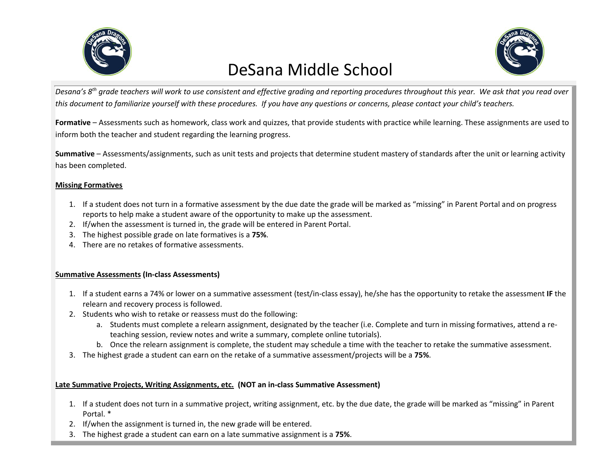



*Desana's 8th grade teachers will work to use consistent and effective grading and reporting procedures throughout this year. We ask that you read over this document to familiarize yourself with these procedures. If you have any questions or concerns, please contact your child's teachers.*

**Formative** – Assessments such as homework, class work and quizzes, that provide students with practice while learning. These assignments are used to inform both the teacher and student regarding the learning progress.

**Summative** – Assessments/assignments, such as unit tests and projects that determine student mastery of standards after the unit or learning activity has been completed.

### **Missing Formatives**

- 1. If a student does not turn in a formative assessment by the due date the grade will be marked as "missing" in Parent Portal and on progress reports to help make a student aware of the opportunity to make up the assessment.
- 2. If/when the assessment is turned in, the grade will be entered in Parent Portal.
- 3. The highest possible grade on late formatives is a **75%**.
- 4. There are no retakes of formative assessments.

### **Summative Assessments (In-class Assessments)**

- 1. If a student earns a 74% or lower on a summative assessment (test/in-class essay), he/she has the opportunity to retake the assessment **IF** the relearn and recovery process is followed.
- 2. Students who wish to retake or reassess must do the following:
	- a. Students must complete a relearn assignment, designated by the teacher (i.e. Complete and turn in missing formatives, attend a reteaching session, review notes and write a summary, complete online tutorials).
	- b. Once the relearn assignment is complete, the student may schedule a time with the teacher to retake the summative assessment.
- 3. The highest grade a student can earn on the retake of a summative assessment/projects will be a **75%**.

### **Late Summative Projects, Writing Assignments, etc. (NOT an in-class Summative Assessment)**

- 1. If a student does not turn in a summative project, writing assignment, etc. by the due date, the grade will be marked as "missing" in Parent Portal. \*
- 2. If/when the assignment is turned in, the new grade will be entered.
- 3. The highest grade a student can earn on a late summative assignment is a **75%**.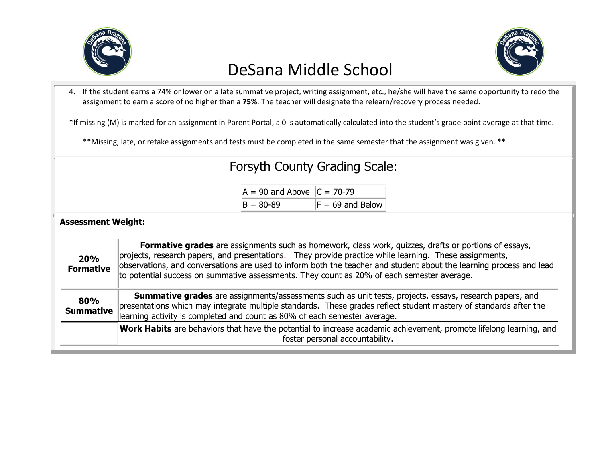

4. If the student earns a 74% or lower on a late summative project, writing assignment, etc., he/she will have the same opportunity to redo the assignment to earn a score of no higher than a **75%**. The teacher will designate the relearn/recovery process needed.

\*If missing (M) is marked for an assignment in Parent Portal, a 0 is automatically calculated into the student's grade point average at that time.

\*\*Missing, late, or retake assignments and tests must be completed in the same semester that the assignment was given. \*\*

# Forsyth County Grading Scale:

| $A = 90$ and Above $C = 70-79$ |                    |
|--------------------------------|--------------------|
| $B = 80 - 89$                  | $F = 69$ and Below |

## **Assessment Weight:**

| 20%<br><b>Formative</b> | Formative grades are assignments such as homework, class work, quizzes, drafts or portions of essays,<br>projects, research papers, and presentations. They provide practice while learning. These assignments,<br>observations, and conversations are used to inform both the teacher and student about the learning process and lead<br>to potential success on summative assessments. They count as 20% of each semester average. |  |
|-------------------------|--------------------------------------------------------------------------------------------------------------------------------------------------------------------------------------------------------------------------------------------------------------------------------------------------------------------------------------------------------------------------------------------------------------------------------------|--|
| 80%<br><b>Summative</b> | <b>Summative grades</b> are assignments/assessments such as unit tests, projects, essays, research papers, and<br>presentations which may integrate multiple standards. These grades reflect student mastery of standards after the<br>learning activity is completed and count as 80% of each semester average.                                                                                                                     |  |
|                         | Work Habits are behaviors that have the potential to increase academic achievement, promote lifelong learning, and<br>foster personal accountability.                                                                                                                                                                                                                                                                                |  |